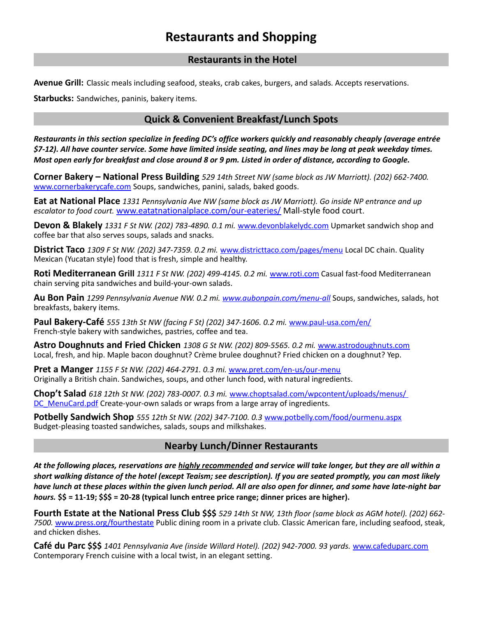# **Restaurants and Shopping**

### **Restaurants in the Hotel**

**Avenue Grill:** Classic meals including seafood, steaks, crab cakes, burgers, and salads. Accepts reservations.

**Starbucks:** Sandwiches, paninis, bakery items.

## **Quick & Convenient Breakfast/Lunch Spots**

*Restaurants in this section specialize in feeding DC's office workers quickly and reasonably cheaply (average entrée \$7-12). All have counter service. Some have limited inside seating, and lines may be long at peak weekday times. Most open early for breakfast and close around 8 or 9 pm. Listed in order of distance, according to Google.*

**Corner Bakery – National Press Building** *529 14th Street NW (same block as JW Marriott). (202) 662-7400.*  [www.cornerbakerycafe.com](http://www.cornerbakerycafe.com/) Soups, sandwiches, panini, salads, baked goods.

**Eat at National Place** *1331 Pennsylvania Ave NW (same block as JW Marriott). Go inside NP entrance and up escalator to food court.* [www.eatatnationalplace.com/our-eateries/](http://www.eatatnationalplace.com/our-eateries/) Mall-style food court.

**Devon & Blakely** *1331 F St NW. (202) 783-4890. 0.1 mi.* [www.devonblakelydc.com](http://www.devonblakelydc.com/) Upmarket sandwich shop and coffee bar that also serves soups, salads and snacks.

**District Taco** *1309 F St NW. (202) 347-7359. 0.2 mi.* [www.districttaco.com/pages/menu](http://www.districttaco.com/pages/menu) Local DC chain. Quality Mexican (Yucatan style) food that is fresh, simple and healthy.

**Roti Mediterranean Grill** *1311 F St NW. (202) 499-4145. 0.2 mi.* [www.roti.com](http://www.roti.com/) Casual fast-food Mediterranean chain serving pita sandwiches and build-your-own salads.

**Au Bon Pain** *1299 Pennsylvania Avenue NW. 0.2 mi. [www.aubonpain.com/menu-all](http://www.aubonpain.com/menu-all)* Soups, sandwiches, salads, hot breakfasts, bakery items.

**Paul Bakery-Café** *555 13th St NW (facing F St) (202) 347-1606. 0.2 mi.* [www.paul-usa.com/en/](http://www.paul-usa.com/en/) French-style bakery with sandwiches, pastries, coffee and tea.

**Astro Doughnuts and Fried Chicken** *1308 G St NW. (202) 809-5565. 0.2 mi.* [www.astrodoughnuts.com](http://www.astrodoughnuts.com/) Local, fresh, and hip. Maple bacon doughnut? Crème brulee doughnut? Fried chicken on a doughnut? Yep.

**Pret a Manger** *1155 F St NW. (202) 464-2791. 0.3 mi.* [www.pret.com/en-us/our-menu](http://www.pret.com/en-us/our-menu) Originally a British chain. Sandwiches, soups, and other lunch food, with natural ingredients.

**Chop't Salad** *618 12th St NW. (202) 783-0007. 0.3 mi.* [www.choptsalad.com/wpcontent/uploads/menus/](http://www.choptsalad.com/wpcontent/uploads/menus/%20DC_MenuCard.pdf)  DC MenuCard.pdf Create-your-own salads or wraps from a large array of ingredients.

**Potbelly Sandwich Shop** *555 12th St NW. (202) 347-7100. 0.3* [www.potbelly.com/food/ourmenu.aspx](http://www.potbelly.com/food/ourmenu.aspx) Budget-pleasing toasted sandwiches, salads, soups and milkshakes.

#### **Nearby Lunch/Dinner Restaurants**

*At the following places, reservations are highly recommended and service will take longer, but they are all within a short walking distance of the hotel (except Teaism; see description). If you are seated promptly, you can most likely have lunch at these places within the given lunch period. All are also open for dinner, and some have late-night bar hours.* **\$\$ = 11-19; \$\$\$ = 20-28 (typical lunch entree price range; dinner prices are higher).**

**Fourth Estate at the National Press Club \$\$\$** *529 14th St NW, 13th floor (same block as AGM hotel). (202) 662- 7500.* [www.press.org/fourthestate](http://www.press.org/fourthestate) Public dining room in a private club. Classic American fare, including seafood, steak, and chicken dishes.

**Café du Parc \$\$\$** *1401 Pennsylvania Ave (inside Willard Hotel). (202) 942-7000. 93 yards.* [www.cafeduparc.com](http://www.cafeduparc.com/) Contemporary French cuisine with a local twist, in an elegant setting.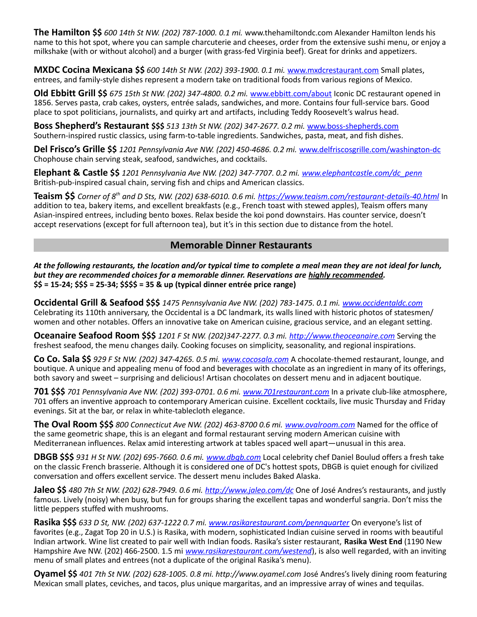**The Hamilton \$\$** *600 14th St NW. (202) 787-1000. 0.1 mi.* www.thehamiltondc.com Alexander Hamilton lends his name to this hot spot, where you can sample charcuterie and cheeses, order from the extensive sushi menu, or enjoy a milkshake (with or without alcohol) and a burger (with grass-fed Virginia beef). Great for drinks and appetizers.

**MXDC Cocina Mexicana \$\$** *600 14th St NW. (202) 393-1900. 0.1 mi.* [www.mxdcrestaurant.com](http://www.mxdcrestaurant.com/) Small plates, entrees, and family-style dishes represent a modern take on traditional foods from various regions of Mexico.

**Old Ebbitt Grill \$\$** *675 15th St NW. (202) 347-4800. 0.2 mi.* [www.ebbitt.com/about](http://www.ebbitt.com/about) Iconic DC restaurant opened in 1856. Serves pasta, crab cakes, oysters, entrée salads, sandwiches, and more. Contains four full-service bars. Good place to spot politicians, journalists, and quirky art and artifacts, including Teddy Roosevelt's walrus head.

**Boss Shepherd's Restaurant \$\$\$** *513 13th St NW. (202) 347-2677. 0.2 mi.* [www.boss-shepherds.com](http://www.boss-shepherds.com/) Southern-inspired rustic classics, using farm-to-table ingredients. Sandwiches, pasta, meat, and fish dishes.

**Del Frisco's Grille \$\$** *1201 Pennsylvania Ave NW. (202) 450-4686. 0.2 mi.* [www.delfriscosgrille.com/washington-dc](http://www.delfriscosgrille.com/washington-dc) Chophouse chain serving steak, seafood, sandwiches, and cocktails.

**Elephant & Castle \$\$** *1201 Pennsylvania Ave NW. (202) 347-7707. 0.2 mi. [www.elephantcastle.com/dc\\_penn](http://www.elephantcastle.com/dc_penn)* British-pub-inspired casual chain, serving fish and chips and American classics.

**Teaism \$\$** *Corner of 8th and D Sts, NW. (202) 638-6010. 0.6 mi.<https://www.teaism.com/restaurant-details-40.html>* In addition to tea, bakery items, and excellent breakfasts (e.g., French toast with stewed apples), Teaism offers many Asian-inspired entrees, including bento boxes. Relax beside the koi pond downstairs. Has counter service, doesn't accept reservations (except for full afternoon tea), but it's in this section due to distance from the hotel.

#### **Memorable Dinner Restaurants**

*At the following restaurants, the location and/or typical time to complete a meal mean they are not ideal for lunch, but they are recommended choices for a memorable dinner. Reservations are highly recommended.*  **\$\$ = 15-24; \$\$\$ = 25-34; \$\$\$\$ = 35 & up (typical dinner entrée price range)**

**Occidental Grill & Seafood \$\$\$** *1475 Pennsylvania Ave NW. (202) 783-1475. 0.1 mi. [www.occidentaldc.com](http://www.occidentaldc.com/)* Celebrating its 110th anniversary, the Occidental is a DC landmark, its walls lined with historic photos of statesmen/ women and other notables. Offers an innovative take on American cuisine, gracious service, and an elegant setting.

**Oceanaire Seafood Room \$\$\$** *1201 F St NW. (202)347-2277. 0.3 mi. [http://www.theoceanaire.com](http://www.theoceanaire.com/)* Serving the freshest seafood, the menu changes daily. Cooking focuses on simplicity, seasonality, and regional inspirations.

**Co Co. Sala \$\$** *929 F St NW. (202) 347-4265. 0.5 mi. [www.cocosala.com](http://www.cocosala.com/)* A chocolate-themed restaurant, lounge, and boutique. A unique and appealing menu of food and beverages with chocolate as an ingredient in many of its offerings, both savory and sweet – surprising and delicious! Artisan chocolates on dessert menu and in adjacent boutique.

**701 \$\$\$** *701 Pennsylvania Ave NW. (202) 393-0701. 0.6 mi. [www.701restaurant.com](http://www.701restaurant.com/)* In a private club-like atmosphere, 701 offers an inventive approach to contemporary American cuisine. Excellent cocktails, live music Thursday and Friday evenings. Sit at the bar, or relax in white-tablecloth elegance.

**The Oval Room \$\$\$** *800 Connecticut Ave NW. (202) 463-8700 0.6 mi. [www.ovalroom.com](http://www.ovalroom.com/)* Named for the office of the same geometric shape, this is an elegant and formal restaurant serving modern American cuisine with Mediterranean influences. Relax amid interesting artwork at tables spaced well apart—unusual in this area.

**DBGB \$\$\$** *931 H St NW. (202) 695-7660. 0.6 mi. [www.dbgb.com](http://www.dbgb.com/)* Local celebrity chef Daniel Boulud offers a fresh take on the classic French brasserie. Although it is considered one of DC's hottest spots, DBGB is quiet enough for civilized conversation and offers excellent service. The dessert menu includes Baked Alaska.

**Jaleo \$\$** *480 7th St NW. (202) 628-7949. 0.6 mi.<http://www.jaleo.com/dc>* One of José Andres's restaurants, and justly famous. Lively (noisy) when busy, but fun for groups sharing the excellent tapas and wonderful sangria. Don't miss the little peppers stuffed with mushrooms.

**Rasika \$\$\$** *633 D St, NW. (202) 637-1222 0.7 mi. [www.rasikarestaurant.com/pennquarter](http://www.rasikarestaurant.com/pennquarter)* On everyone's list of favorites (e.g., Zagat Top 20 in U.S.) is Rasika, with modern, sophisticated Indian cuisine served in rooms with beautiful Indian artwork. Wine list created to pair well with Indian foods. Rasika's sister restaurant, **Rasika West End** (1190 New Hampshire Ave NW. (202) 466-2500. 1.5 mi *[www.rasikarestaurant.com/westend](http://www.rasikarestaurant.com/westend/)*), is also well regarded, with an inviting menu of small plates and entrees (not a duplicate of the original Rasika's menu).

**Oyamel \$\$** *401 7th St NW. (202) 628-1005. 0.8 mi. http://www.oyamel.com* José Andres's lively dining room featuring Mexican small plates, ceviches, and tacos, plus unique margaritas, and an impressive array of wines and tequilas.